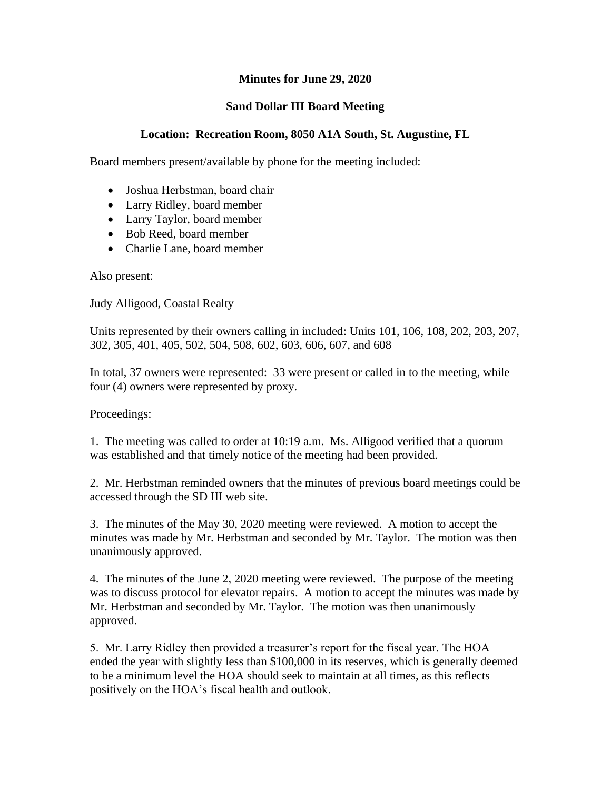## **Minutes for June 29, 2020**

## **Sand Dollar III Board Meeting**

## **Location: Recreation Room, 8050 A1A South, St. Augustine, FL**

Board members present/available by phone for the meeting included:

- Joshua Herbstman, board chair
- Larry Ridley, board member
- Larry Taylor, board member
- Bob Reed, board member
- Charlie Lane, board member

Also present:

Judy Alligood, Coastal Realty

Units represented by their owners calling in included: Units 101, 106, 108, 202, 203, 207, 302, 305, 401, 405, 502, 504, 508, 602, 603, 606, 607, and 608

In total, 37 owners were represented: 33 were present or called in to the meeting, while four (4) owners were represented by proxy.

Proceedings:

1. The meeting was called to order at 10:19 a.m. Ms. Alligood verified that a quorum was established and that timely notice of the meeting had been provided.

2. Mr. Herbstman reminded owners that the minutes of previous board meetings could be accessed through the SD III web site.

3. The minutes of the May 30, 2020 meeting were reviewed. A motion to accept the minutes was made by Mr. Herbstman and seconded by Mr. Taylor. The motion was then unanimously approved.

4. The minutes of the June 2, 2020 meeting were reviewed. The purpose of the meeting was to discuss protocol for elevator repairs. A motion to accept the minutes was made by Mr. Herbstman and seconded by Mr. Taylor. The motion was then unanimously approved.

5. Mr. Larry Ridley then provided a treasurer's report for the fiscal year. The HOA ended the year with slightly less than \$100,000 in its reserves, which is generally deemed to be a minimum level the HOA should seek to maintain at all times, as this reflects positively on the HOA's fiscal health and outlook.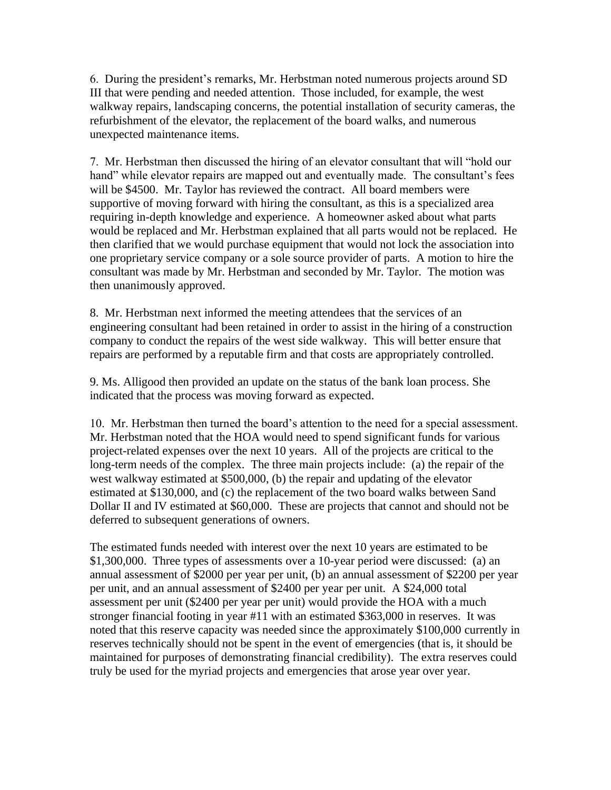6. During the president's remarks, Mr. Herbstman noted numerous projects around SD III that were pending and needed attention. Those included, for example, the west walkway repairs, landscaping concerns, the potential installation of security cameras, the refurbishment of the elevator, the replacement of the board walks, and numerous unexpected maintenance items.

7. Mr. Herbstman then discussed the hiring of an elevator consultant that will "hold our hand" while elevator repairs are mapped out and eventually made. The consultant's fees will be \$4500. Mr. Taylor has reviewed the contract. All board members were supportive of moving forward with hiring the consultant, as this is a specialized area requiring in-depth knowledge and experience. A homeowner asked about what parts would be replaced and Mr. Herbstman explained that all parts would not be replaced. He then clarified that we would purchase equipment that would not lock the association into one proprietary service company or a sole source provider of parts. A motion to hire the consultant was made by Mr. Herbstman and seconded by Mr. Taylor. The motion was then unanimously approved.

8. Mr. Herbstman next informed the meeting attendees that the services of an engineering consultant had been retained in order to assist in the hiring of a construction company to conduct the repairs of the west side walkway. This will better ensure that repairs are performed by a reputable firm and that costs are appropriately controlled.

9. Ms. Alligood then provided an update on the status of the bank loan process. She indicated that the process was moving forward as expected.

10. Mr. Herbstman then turned the board's attention to the need for a special assessment. Mr. Herbstman noted that the HOA would need to spend significant funds for various project-related expenses over the next 10 years. All of the projects are critical to the long-term needs of the complex. The three main projects include: (a) the repair of the west walkway estimated at \$500,000, (b) the repair and updating of the elevator estimated at \$130,000, and (c) the replacement of the two board walks between Sand Dollar II and IV estimated at \$60,000. These are projects that cannot and should not be deferred to subsequent generations of owners.

The estimated funds needed with interest over the next 10 years are estimated to be \$1,300,000. Three types of assessments over a 10-year period were discussed: (a) an annual assessment of \$2000 per year per unit, (b) an annual assessment of \$2200 per year per unit, and an annual assessment of \$2400 per year per unit. A \$24,000 total assessment per unit (\$2400 per year per unit) would provide the HOA with a much stronger financial footing in year #11 with an estimated \$363,000 in reserves. It was noted that this reserve capacity was needed since the approximately \$100,000 currently in reserves technically should not be spent in the event of emergencies (that is, it should be maintained for purposes of demonstrating financial credibility). The extra reserves could truly be used for the myriad projects and emergencies that arose year over year.